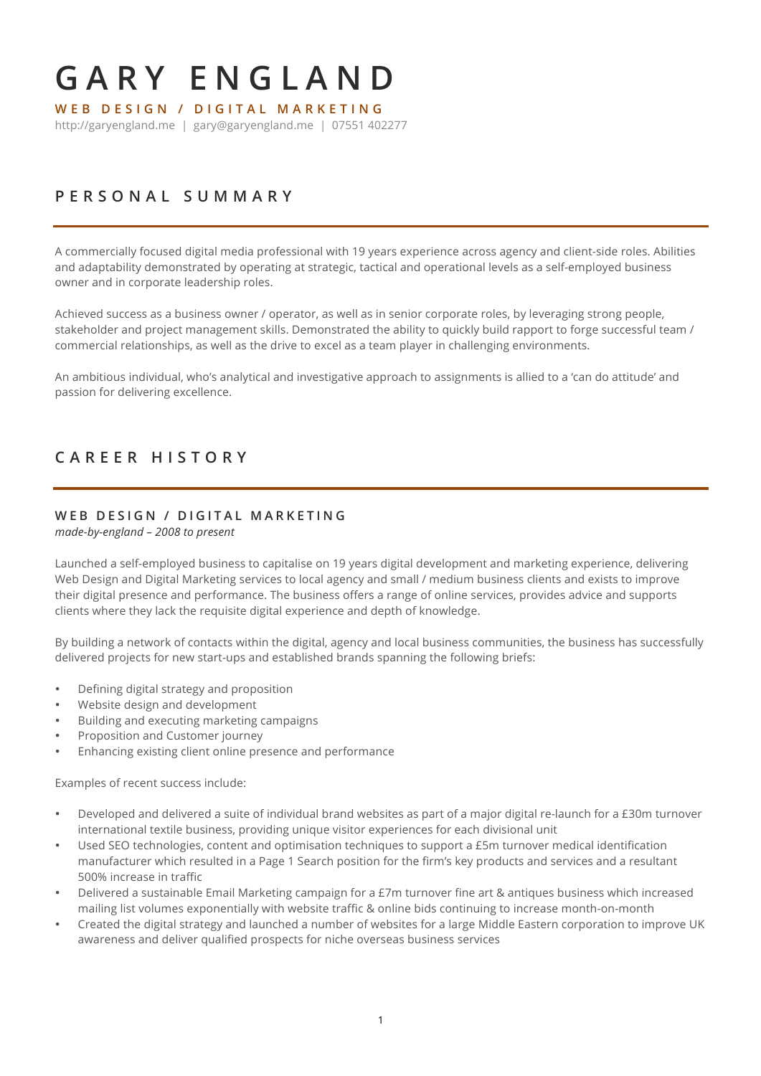# **GARY ENGLAND WEB DESIGN / DIGITAL MARKET ING**

http://garyengland.me | gary@garyengland.me | 07551 402277

# **PERSONAL S UMMARY**

A commercially focused digital media professional with 19 years experience across agency and client-side roles. Abilities and adaptability demonstrated by operating at strategic, tactical and operational levels as a self-employed business owner and in corporate leadership roles.

Achieved success as a business owner / operator, as well as in senior corporate roles, by leveraging strong people, stakeholder and project management skills. Demonstrated the ability to quickly build rapport to forge successful team / commercial relationships, as well as the drive to excel as a team player in challenging environments.

An ambitious individual, who's analytical and investigative approach to assignments is allied to a 'can do attitude' and passion for delivering excellence.

## **CAREER HISTORY**

#### **WEB DESIGN / DIGITAL MARKETING**

*made-by-england – 2008 to present*

Launched a self-employed business to capitalise on 19 years digital development and marketing experience, delivering Web Design and Digital Marketing services to local agency and small / medium business clients and exists to improve their digital presence and performance. The business offers a range of online services, provides advice and supports clients where they lack the requisite digital experience and depth of knowledge.

By building a network of contacts within the digital, agency and local business communities, the business has successfully delivered projects for new start-ups and established brands spanning the following briefs:

- Defining digital strategy and proposition
- Website design and development
- Building and executing marketing campaigns
- Proposition and Customer journey
- Enhancing existing client online presence and performance

Examples of recent success include:

- Developed and delivered a suite of individual brand websites as part of a major digital re-launch for a £30m turnover international textile business, providing unique visitor experiences for each divisional unit
- Used SEO technologies, content and optimisation techniques to support a £5m turnover medical identification manufacturer which resulted in a Page 1 Search position for the firm's key products and services and a resultant 500% increase in traffic
- Delivered a sustainable Email Marketing campaign for a £7m turnover fine art & antiques business which increased mailing list volumes exponentially with website traffic & online bids continuing to increase month-on-month
- Created the digital strategy and launched a number of websites for a large Middle Eastern corporation to improve UK awareness and deliver qualified prospects for niche overseas business services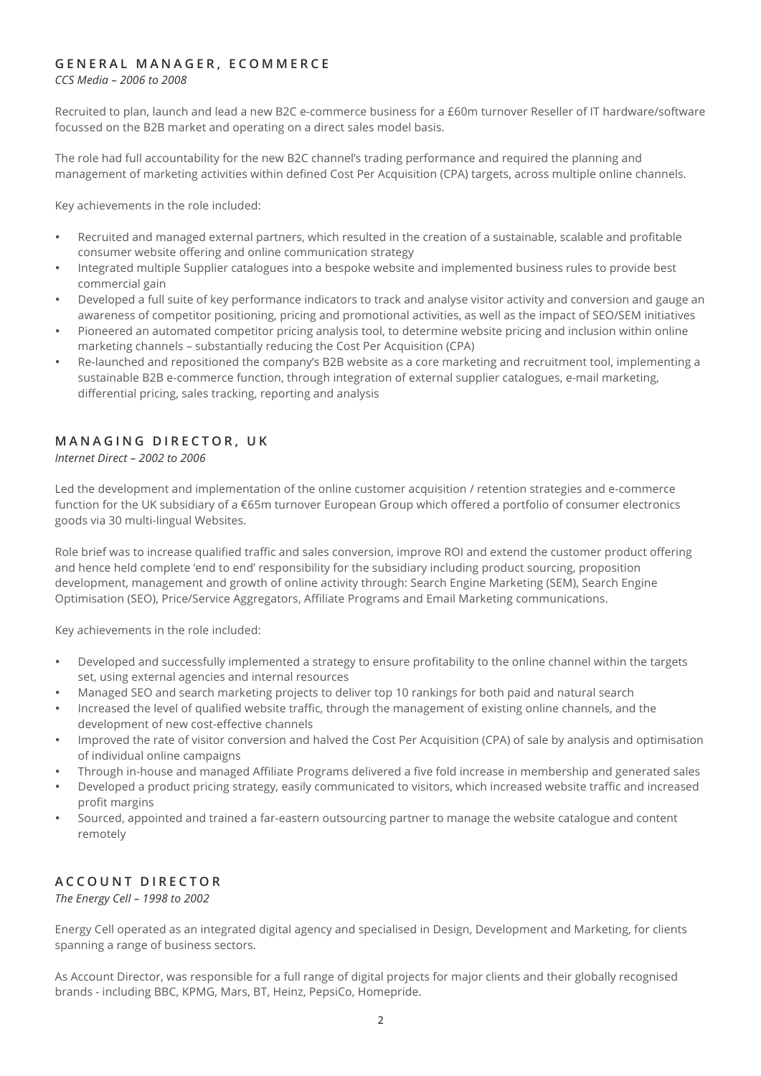#### **GENERAL MANAGER, ECOMMERCE**

*CCS Media – 2006 to 2008*

Recruited to plan, launch and lead a new B2C e-commerce business for a £60m turnover Reseller of IT hardware/software focussed on the B2B market and operating on a direct sales model basis.

The role had full accountability for the new B2C channel's trading performance and required the planning and management of marketing activities within defined Cost Per Acquisition (CPA) targets, across multiple online channels.

Key achievements in the role included:

- Recruited and managed external partners, which resulted in the creation of a sustainable, scalable and profitable consumer website offering and online communication strategy
- Integrated multiple Supplier catalogues into a bespoke website and implemented business rules to provide best commercial gain
- Developed a full suite of key performance indicators to track and analyse visitor activity and conversion and gauge an awareness of competitor positioning, pricing and promotional activities, as well as the impact of SEO/SEM initiatives
- Pioneered an automated competitor pricing analysis tool, to determine website pricing and inclusion within online marketing channels – substantially reducing the Cost Per Acquisition (CPA)
- Re-launched and repositioned the company's B2B website as a core marketing and recruitment tool, implementing a sustainable B2B e-commerce function, through integration of external supplier catalogues, e-mail marketing, differential pricing, sales tracking, reporting and analysis

#### **MANAGING DIRECTOR, UK**

*Internet Direct – 2002 to 2006*

Led the development and implementation of the online customer acquisition / retention strategies and e-commerce function for the UK subsidiary of a €65m turnover European Group which offered a portfolio of consumer electronics goods via 30 multi-lingual Websites.

Role brief was to increase qualified traffic and sales conversion, improve ROI and extend the customer product offering and hence held complete 'end to end' responsibility for the subsidiary including product sourcing, proposition development, management and growth of online activity through: Search Engine Marketing (SEM), Search Engine Optimisation (SEO), Price/Service Aggregators, Affiliate Programs and Email Marketing communications.

Key achievements in the role included:

- Developed and successfully implemented a strategy to ensure profitability to the online channel within the targets set, using external agencies and internal resources
- Managed SEO and search marketing projects to deliver top 10 rankings for both paid and natural search
- Increased the level of qualified website traffic, through the management of existing online channels, and the development of new cost-effective channels
- Improved the rate of visitor conversion and halved the Cost Per Acquisition (CPA) of sale by analysis and optimisation of individual online campaigns
- Through in-house and managed Affiliate Programs delivered a five fold increase in membership and generated sales
- Developed a product pricing strategy, easily communicated to visitors, which increased website traffic and increased profit margins
- Sourced, appointed and trained a far-eastern outsourcing partner to manage the website catalogue and content remotely

#### **ACCOUNT DIRECTOR**

*The Energy Cell – 1998 to 2002*

Energy Cell operated as an integrated digital agency and specialised in Design, Development and Marketing, for clients spanning a range of business sectors.

As Account Director, was responsible for a full range of digital projects for major clients and their globally recognised brands - including BBC, KPMG, Mars, BT, Heinz, PepsiCo, Homepride.